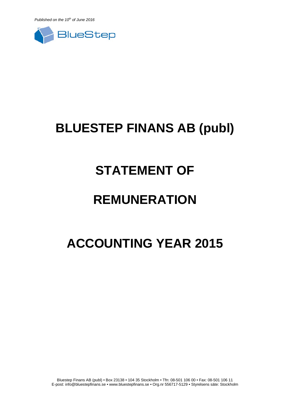*Published on the 10th of June 2016* 



## **BLUESTEP FINANS AB (publ)**

## **STATEMENT OF**

## **REMUNERATION**

# **ACCOUNTING YEAR 2015**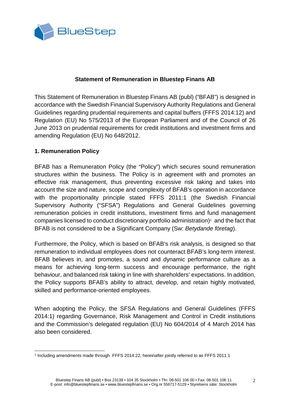

### **Statement of Remuneration in Bluestep Finans AB**

This Statement of Remuneration in Bluestep Finans AB (publ) ("BFAB") is designed in accordance with the Swedish Financial Supervisory Authority Regulations and General Guidelines regarding prudential requirements and capital buffers (FFFS 2014:12) and Regulation (EU) No 575/2013 of the European Parliament and of the Council of 26 June 2013 on prudential requirements for credit institutions and investment firms and amending Regulation (EU) No 648/2012.

### **1. Remuneration Policy**

BFAB has a Remuneration Policy (the "Policy") which secures sound remuneration structures within the business. The Policy is in agreement with and promotes an effective risk management, thus preventing excessive risk taking and takes into account the size and nature, scope and complexity of BFAB's operation in accordance with the proportionality principle stated FFFS 2011:1 (the Swedish Financial Supervisory Authority ("SFSA") Regulations and General Guidelines governing remuneration policies in credit institutions, investment firms and fund management companies licensed to conduct discretionary portfolio administration)<sup>1</sup> and the fact that BFAB is not considered to be a Significant Company (Sw: *Betydande företag*).

Furthermore, the Policy, which is based on BFAB's risk analysis, is designed so that remuneration to individual employees does not counteract BFAB's long-term interest. BFAB believes in, and promotes, a sound and dynamic performance culture as a means for achieving long-term success and encourage performance, the right behaviour, and balanced risk taking in line with shareholders' expectations. In addition, the Policy supports BFAB's ability to attract, develop, and retain highly motivated, skilled and performance-oriented employees.

When adopting the Policy, the SFSA Regulations and General Guidelines (FFFS 2014:1) regarding Governance, Risk Management and Control in Credit institutions and the Commission's delegated regulation (EU) No 604/2014 of 4 March 2014 has also been considered.

<sup>-</sup><sup>1</sup> Including amendments made through FFFS 2014:22, hereinafter jointly referred to as FFFS 2011:1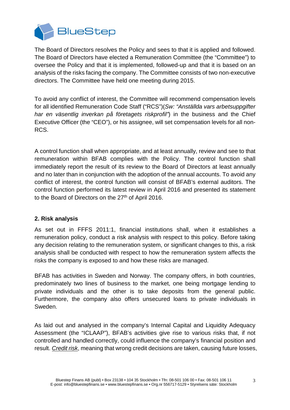

The Board of Directors resolves the Policy and sees to that it is applied and followed. The Board of Directors have elected a Remuneration Committee (the "Committee") to oversee the Policy and that it is implemented, followed-up and that it is based on an analysis of the risks facing the company. The Committee consists of two non-executive directors. The Committee have held one meeting during 2015.

To avoid any conflict of interest, the Committee will recommend compensation levels for all identified Remuneration Code Staff ("RCS")(*Sw: "Anställda vars arbetsuppgifter har en väsentlig inverkan på företagets riskprofil"*) in the business and the Chief Executive Officer (the "CEO"), or his assignee, will set compensation levels for all non-RCS.

A control function shall when appropriate, and at least annually, review and see to that remuneration within BFAB complies with the Policy. The control function shall immediately report the result of its review to the Board of Directors at least annually and no later than in conjunction with the adoption of the annual accounts. To avoid any conflict of interest, the control function will consist of BFAB's external auditors. The control function performed its latest review in April 2016 and presented its statement to the Board of Directors on the 27<sup>th</sup> of April 2016.

## **2. Risk analysis**

As set out in FFFS 2011:1, financial institutions shall, when it establishes a remuneration policy, conduct a risk analysis with respect to this policy. Before taking any decision relating to the remuneration system, or significant changes to this, a risk analysis shall be conducted with respect to how the remuneration system affects the risks the company is exposed to and how these risks are managed.

BFAB has activities in Sweden and Norway. The company offers, in both countries, predominately two lines of business to the market, one being mortgage lending to private individuals and the other is to take deposits from the general public. Furthermore, the company also offers unsecured loans to private individuals in Sweden.

As laid out and analysed in the company's Internal Capital and Liquidity Adequacy Assessment (the "ICLAAP"), BFAB's activities give rise to various risks that, if not controlled and handled correctly, could influence the company's financial position and result. *Credit risk*, meaning that wrong credit decisions are taken, causing future losses,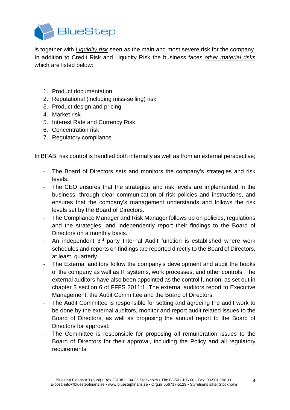

is together with *Liquidity risk* seen as the main and most severe risk for the company. In addition to Credit Risk and Liquidity Risk the business faces *other material risks* which are listed below:

- 1. Product documentation
- 2. Reputational (including miss-selling) risk
- 3. Product design and pricing
- 4. Market risk
- 5. Interest Rate and Currency Risk
- 6. Concentration risk
- 7. Regulatory compliance

In BFAB, risk control is handled both internally as well as from an external perspective;

- The Board of Directors sets and monitors the company's strategies and risk levels.
- The CEO ensures that the strategies and risk levels are implemented in the business, through clear communication of risk policies and instructions, and ensures that the company's management understands and follows the risk levels set by the Board of Directors.
- The Compliance Manager and Risk Manager follows up on policies, regulations and the strategies, and independently report their findings to the Board of Directors on a monthly basis.
- An independent 3<sup>rd</sup> party Internal Audit function is established where work schedules and reports on findings are reported directly to the Board of Directors, at least, quarterly.
- The External auditors follow the company's development and audit the books of the company as well as IT systems, work processes, and other controls. The external auditors have also been appointed as the control function, as set out in chapter 3 section 6 of FFFS 2011:1. The external auditors report to Executive Management, the Audit Committee and the Board of Directors.
- The Audit Committee is responsible for setting and agreeing the audit work to be done by the external auditors, monitor and report audit related issues to the Board of Directors, as well as proposing the annual report to the Board of Directors for approval.
- The Committee is responsible for proposing all remuneration issues to the Board of Directors for their approval, including the Policy and all regulatory requirements.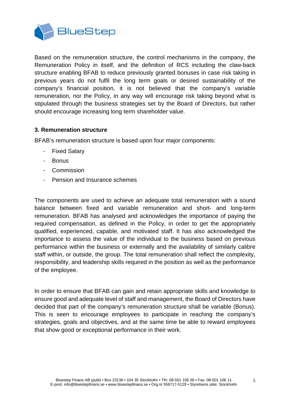

Based on the remuneration structure, the control mechanisms in the company, the Remuneration Policy in itself, and the definition of RCS including the claw-back structure enabling BFAB to reduce previously granted bonuses in case risk taking in previous years do not fulfil the long term goals or desired sustainability of the company's financial position, it is not believed that the company's variable remuneration, nor the Policy, in any way will encourage risk taking beyond what is stipulated through the business strategies set by the Board of Directors, but rather should encourage increasing long term shareholder value.

### **3. Remuneration structure**

BFAB's remuneration structure is based upon four major components:

- Fixed Salary
- Bonus
- Commission
- Pension and Insurance schemes

The components are used to achieve an adequate total remuneration with a sound balance between fixed and variable remuneration and short- and long-term remuneration. BFAB has analysed and acknowledges the importance of paying the required compensation, as defined in the Policy, in order to get the appropriately qualified, experienced, capable, and motivated staff. It has also acknowledged the importance to assess the value of the individual to the business based on previous performance within the business or externally and the availability of similarly calibre staff within, or outside, the group. The total remuneration shall reflect the complexity, responsibility, and leadership skills required in the position as well as the performance of the employee.

In order to ensure that BFAB can gain and retain appropriate skills and knowledge to ensure good and adequate level of staff and management, the Board of Directors have decided that part of the company's remuneration structure shall be variable (Bonus). This is seen to encourage employees to participate in reaching the company's strategies, goals and objectives, and at the same time be able to reward employees that show good or exceptional performance in their work.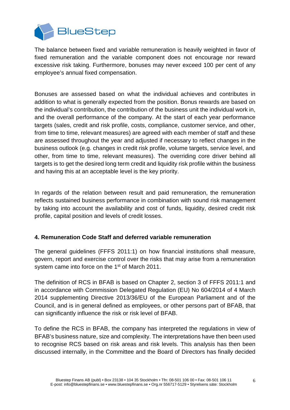

The balance between fixed and variable remuneration is heavily weighted in favor of fixed remuneration and the variable component does not encourage nor reward excessive risk taking. Furthermore, bonuses may never exceed 100 per cent of any employee's annual fixed compensation.

Bonuses are assessed based on what the individual achieves and contributes in addition to what is generally expected from the position. Bonus rewards are based on the individual's contribution, the contribution of the business unit the individual work in, and the overall performance of the company. At the start of each year performance targets (sales, credit and risk profile, costs, compliance, customer service, and other, from time to time, relevant measures) are agreed with each member of staff and these are assessed throughout the year and adjusted if necessary to reflect changes in the business outlook (e.g. changes in credit risk profile, volume targets, service level, and other, from time to time, relevant measures). The overriding core driver behind all targets is to get the desired long term credit and liquidity risk profile within the business and having this at an acceptable level is the key priority.

In regards of the relation between result and paid remuneration, the remuneration reflects sustained business performance in combination with sound risk management by taking into account the availability and cost of funds, liquidity, desired credit risk profile, capital position and levels of credit losses.

## **4. Remuneration Code Staff and deferred variable remuneration**

The general guidelines (FFFS 2011:1) on how financial institutions shall measure, govern, report and exercise control over the risks that may arise from a remuneration system came into force on the 1<sup>st</sup> of March 2011.

The definition of RCS in BFAB is based on Chapter 2, section 3 of FFFS 2011:1 and in accordance with Commission Delegated Regulation (EU) No 604/2014 of 4 March 2014 supplementing Directive 2013/36/EU of the European Parliament and of the Council, and is in general defined as employees, or other persons part of BFAB, that can significantly influence the risk or risk level of BFAB.

To define the RCS in BFAB, the company has interpreted the regulations in view of BFAB's business nature, size and complexity. The interpretations have then been used to recognise RCS based on risk areas and risk levels. This analysis has then been discussed internally, in the Committee and the Board of Directors has finally decided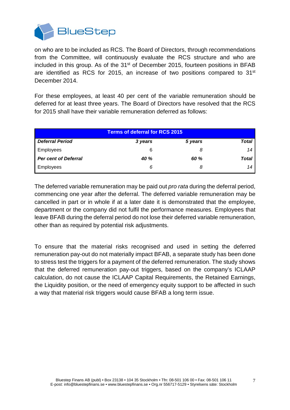

on who are to be included as RCS. The Board of Directors, through recommendations from the Committee, will continuously evaluate the RCS structure and who are included in this group. As of the 31<sup>st</sup> of December 2015, fourteen positions in BFAB are identified as RCS for 2015, an increase of two positions compared to 31st December 2014.

For these employees, at least 40 per cent of the variable remuneration should be deferred for at least three years. The Board of Directors have resolved that the RCS for 2015 shall have their variable remuneration deferred as follows:

| <b>Terms of deferral for RCS 2015</b> |             |         |       |
|---------------------------------------|-------------|---------|-------|
| <b>Deferral Period</b>                | 3 years     | 5 years | Total |
| Employees                             | 6           | 8       | 14    |
| <b>Per cent of Deferral</b>           | <b>40 %</b> | 60 %    | Total |
| Employees                             | 6           | 8       | 14    |

The deferred variable remuneration may be paid out *pro rata* during the deferral period, commencing one year after the deferral. The deferred variable remuneration may be cancelled in part or in whole if at a later date it is demonstrated that the employee, department or the company did not fulfil the performance measures. Employees that leave BFAB during the deferral period do not lose their deferred variable remuneration, other than as required by potential risk adjustments.

To ensure that the material risks recognised and used in setting the deferred remuneration pay-out do not materially impact BFAB, a separate study has been done to stress test the triggers for a payment of the deferred remuneration. The study shows that the deferred remuneration pay-out triggers, based on the company's ICLAAP calculation, do not cause the ICLAAP Capital Requirements, the Retained Earnings, the Liquidity position, or the need of emergency equity support to be affected in such a way that material risk triggers would cause BFAB a long term issue.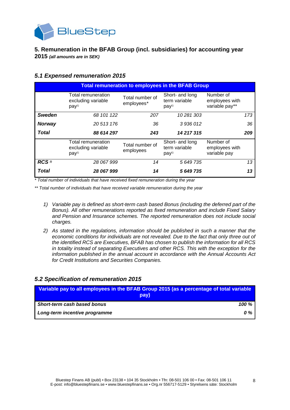

#### **5. Remuneration in the BFAB Group (incl. subsidiaries) for accounting year 2015** *(all amounts are in SEK)*

#### *5.1 Expensed remuneration 2015*

| <b>Total remuneration to employees in the BFAB Group</b> |                                                              |                               |                                                      |                                               |     |
|----------------------------------------------------------|--------------------------------------------------------------|-------------------------------|------------------------------------------------------|-----------------------------------------------|-----|
|                                                          | Total remuneration<br>excluding variable<br>pay <sup>1</sup> | Total number of<br>employees* | Short- and long<br>term variable<br>pay <sup>1</sup> | Number of<br>employees with<br>variable pay** |     |
| <b>Sweden</b>                                            | 68 101 122                                                   | 207                           | 10 281 303                                           |                                               | 173 |
| <b>Norway</b>                                            | 20 513 176                                                   | 36                            | 3 936 012                                            |                                               | 36  |
| <b>Total</b>                                             | 88 614 297                                                   | 243                           | 14 217 315                                           |                                               | 209 |
|                                                          | Total remuneration<br>excluding variable<br>pay <sup>1</sup> | Total number of<br>employees  | Short- and long<br>term variable<br>pay <sup>1</sup> | Number of<br>employees with<br>variable pay   |     |
| RCS <sup>2)</sup>                                        | 28 067 999                                                   | 14                            | 5 649 735                                            |                                               | 13  |
| <b>Total</b>                                             | 28 067 999                                                   | 14                            | 5 649 735                                            |                                               | 13  |

*\* Total number of individuals that have received fixed remuneration during the year*

*\*\* Total number of individuals that have received variable remuneration during the year*

- *1) Variable pay is defined as short-term cash based Bonus (including the deferred part of the Bonus). All other remunerations reported as fixed remuneration and include Fixed Salary and Pension and Insurance schemes. The reported remuneration does not include social charges.*
- *2) As stated in the regulations, information should be published in such a manner that the economic conditions for individuals are not revealed. Due to the fact that only three out of the identified RCS are Executives, BFAB has chosen to publish the information for all RCS in totality instead of separating Executives and other RCS. This with the exception for the information published in the annual account in accordance with the Annual Accounts Act for Credit Institutions and Securities Companies.*

#### *5.2 Specification of remuneration 2015*

| Variable pay to all employees in the BFAB Group 2015 (as a percentage of total variable<br>pay) |          |
|-------------------------------------------------------------------------------------------------|----------|
| Short-term cash based bonus                                                                     | $100 \%$ |
| Long-term incentive programme                                                                   | $0\%$    |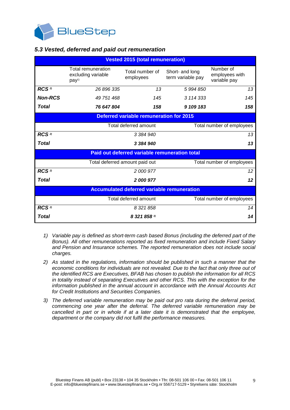

#### *5.3 Vested, deferred and paid out remuneration*

| <b>Vested 2015 (total remuneration)</b>           |                                                                      |                              |                                      |                                             |
|---------------------------------------------------|----------------------------------------------------------------------|------------------------------|--------------------------------------|---------------------------------------------|
|                                                   | <b>Total remuneration</b><br>excluding variable<br>pay <sup>1)</sup> | Total number of<br>employees | Short- and long<br>term variable pay | Number of<br>employees with<br>variable pay |
| RCS <sup>2)</sup>                                 | 26 896 335                                                           | 13                           | 5 994 850                            | 13                                          |
| <b>Non-RCS</b>                                    | 49 751 468                                                           | 145                          | 3 114 333                            | 145                                         |
| Total                                             | 76 647 804                                                           | 158                          | 9 109 183                            | 158                                         |
| <b>Deferred variable remuneration for 2015</b>    |                                                                      |                              |                                      |                                             |
|                                                   | Total deferred amount<br>Total number of employees                   |                              |                                      |                                             |
| RCS <sup>2)</sup>                                 | 3 384 940                                                            |                              | 13                                   |                                             |
| Total                                             |                                                                      | 3 384 940                    |                                      | 13                                          |
|                                                   | Paid out deferred variable remuneration total                        |                              |                                      |                                             |
|                                                   | Total deferred amount paid out<br>Total number of employees          |                              |                                      |                                             |
| RCS <sup>2)</sup>                                 | 2 000 977                                                            |                              | 12                                   |                                             |
| Total                                             | 2 000 977                                                            |                              | 12                                   |                                             |
| <b>Accumulated deferred variable remuneration</b> |                                                                      |                              |                                      |                                             |
|                                                   |                                                                      | Total deferred amount        |                                      | Total number of employees                   |
| RCS <sup>2)</sup>                                 |                                                                      | 8 321 858                    |                                      | 14                                          |
| Total                                             | 8 321 858 3)                                                         |                              | 14                                   |                                             |

- *1) Variable pay is defined as short-term cash based Bonus (including the deferred part of the Bonus). All other remunerations reported as fixed remuneration and include Fixed Salary and Pension and Insurance schemes. The reported remuneration does not include social charges.*
- *2) As stated in the regulations, information should be published in such a manner that the economic conditions for individuals are not revealed. Due to the fact that only three out of the identified RCS are Executives, BFAB has chosen to publish the information for all RCS in totality instead of separating Executives and other RCS. This with the exception for the information published in the annual account in accordance with the Annual Accounts Act for Credit Institutions and Securities Companies.*
- *3) The deferred variable remuneration may be paid out pro rata during the deferral period, commencing one year after the deferral. The deferred variable remuneration may be cancelled in part or in whole if at a later date it is demonstrated that the employee, department or the company did not fulfil the performance measures.*